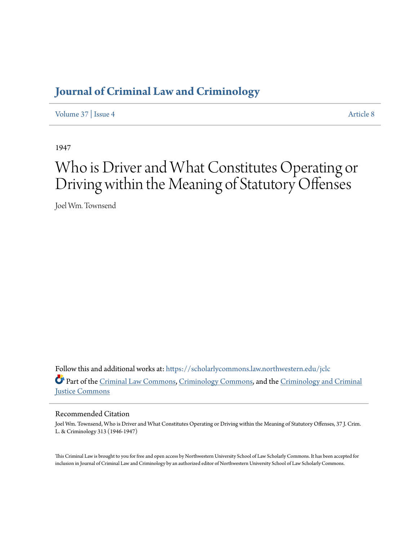## **[Journal of Criminal Law and Criminology](https://scholarlycommons.law.northwestern.edu/jclc?utm_source=scholarlycommons.law.northwestern.edu%2Fjclc%2Fvol37%2Fiss4%2F8&utm_medium=PDF&utm_campaign=PDFCoverPages)**

[Volume 37](https://scholarlycommons.law.northwestern.edu/jclc/vol37?utm_source=scholarlycommons.law.northwestern.edu%2Fjclc%2Fvol37%2Fiss4%2F8&utm_medium=PDF&utm_campaign=PDFCoverPages) | [Issue 4](https://scholarlycommons.law.northwestern.edu/jclc/vol37/iss4?utm_source=scholarlycommons.law.northwestern.edu%2Fjclc%2Fvol37%2Fiss4%2F8&utm_medium=PDF&utm_campaign=PDFCoverPages) [Article 8](https://scholarlycommons.law.northwestern.edu/jclc/vol37/iss4/8?utm_source=scholarlycommons.law.northwestern.edu%2Fjclc%2Fvol37%2Fiss4%2F8&utm_medium=PDF&utm_campaign=PDFCoverPages)

1947

## Who is Driver and What Constitutes Operating or Driving within the Meaning of Statutory Offenses

Joel Wm. Townsend

Follow this and additional works at: [https://scholarlycommons.law.northwestern.edu/jclc](https://scholarlycommons.law.northwestern.edu/jclc?utm_source=scholarlycommons.law.northwestern.edu%2Fjclc%2Fvol37%2Fiss4%2F8&utm_medium=PDF&utm_campaign=PDFCoverPages) Part of the [Criminal Law Commons](http://network.bepress.com/hgg/discipline/912?utm_source=scholarlycommons.law.northwestern.edu%2Fjclc%2Fvol37%2Fiss4%2F8&utm_medium=PDF&utm_campaign=PDFCoverPages), [Criminology Commons](http://network.bepress.com/hgg/discipline/417?utm_source=scholarlycommons.law.northwestern.edu%2Fjclc%2Fvol37%2Fiss4%2F8&utm_medium=PDF&utm_campaign=PDFCoverPages), and the [Criminology and Criminal](http://network.bepress.com/hgg/discipline/367?utm_source=scholarlycommons.law.northwestern.edu%2Fjclc%2Fvol37%2Fiss4%2F8&utm_medium=PDF&utm_campaign=PDFCoverPages) [Justice Commons](http://network.bepress.com/hgg/discipline/367?utm_source=scholarlycommons.law.northwestern.edu%2Fjclc%2Fvol37%2Fiss4%2F8&utm_medium=PDF&utm_campaign=PDFCoverPages)

## Recommended Citation

Joel Wm. Townsend, Who is Driver and What Constitutes Operating or Driving within the Meaning of Statutory Offenses, 37 J. Crim. L. & Criminology 313 (1946-1947)

This Criminal Law is brought to you for free and open access by Northwestern University School of Law Scholarly Commons. It has been accepted for inclusion in Journal of Criminal Law and Criminology by an authorized editor of Northwestern University School of Law Scholarly Commons.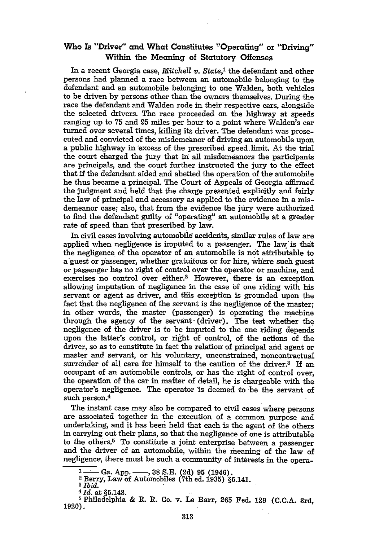## Who Is "Driver" and What Constitutes "Operating" or "Driving" Within the Meaning of Statutory Offenses

In a recent Georgia case, *Mitchell v. State,'* the defendant and other persons had planned a race between an automobile belonging to the defendant and an automobile belonging to one Walden, both vehicles to be driven by persons other than the owners themselves. During the race the defendant and Walden rode in their respective cars, alongside the selected drivers. The race proceeded on the highway at speeds ranging up to 75 and 95 miles per hour to a point where Walden's car turned over several times, killing its driver. The defendant was prosecuted and convicted of the misdemeanor of driving an automobile upon a public highway in excess of the prescribed speed limit. At the trial the court charged the jury that in all misdemeanors the participants are principals, and the court further instructed the jury to the effect that if the defendant aided and abetted the operation of the automobile he thus became a principal. The Court of Appeals of Georgia affirmed the judgment and held that the charge presented explicitly and fairly the law of principal and accessory as applied to the evidence in a misdemeanor case; also, that from the evidence the jury were authorized to find the defendant guilty of "operating" an automobile at a greater rate of speed than that prescribed by law.

In civil cases involving automobile accidents, similar rules of law are applied when negligence is imputed to a passenger. The law is that the negligence of the operator of an automobile is not attributable to a guest or passenger, whether gratuitous or for hire, where such guest or passenger has no right of control over the operator or machine, and exercises no control over either.<sup>2</sup> However, there is an exception allowing imputation of negligence in the case bf one riding with his servant or agent as driver, and this exception is grounded upon the fact that the negligence of the servant is the negligence of the master; in other words, the master (passenger) is operating the machine through the agency of the servant- (driver). The test whether the negligence of the driver is to be imputed to the one riding depends upon the latter's control, or right of control, of the actions of the driver, so as to constitute in fact the relation of principal **and** agent or master and servant, or his voluntary, unconstrained, noncontractual surrender of all care for himself to the caution of the driver.<sup>3</sup> If an occupant of an automobile controls, or has the right of control over, the operation of the car in maiter of detail, he is chargeable with the operator's negligence. The operator is deemed to -be the servant of such person.<sup>4</sup>

The instant case may also be compared to civil cases where persons are associated together in the execution of a common purpose and undertaking, and it has been held that each is the agent of the others in carrying out their plans, so that the negligence of one is attributable to the others.5 To constitute a joint enterprise between a passenger and the driver of an automobile, within the meaning of the law of negligence, there must be such a community of interests in the opera-

**<sup>1 --</sup>** Ga. App. **- , 38** S.E. (2d) **95** (1946).

<sup>2</sup> Berry, Law of Automobiles (7th ed. **1935)** §5.141. **3** *Ibid.*

**<sup>4</sup>***Id.* at §5.143. G Philadelphia & R. R. Co. v. Le Barr, 265 Fed. 129 (C.C.A. 3rd, 1920).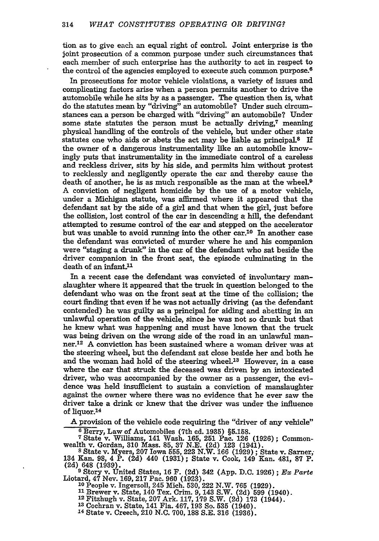tion as to give each an equal right of control. Joint enterprise is the joint prosecution of a common purpose under such circumstances that each member of such enterprise has the authority to act in respect to the control of the agencies employed to execute such common purpose.6

In prosecutions for motor vehicle violations, a variety of issues and complicating factors arise when a person permits another to drive the automobile while he sits by as a passenger. The question then is, what do the statutes mean by "driving" an automobile? Under such circumstances can a person be charged with "driving" an automobile? Under some state statutes the person must be actually driving,<sup>7</sup> meaning physical handling of the controls of the vehicle, but under other state statutes one who aids or abets the act may be liable as principal.<sup>8</sup> If the owner of a dangerous instrumentality like an automobile knowingly puts that instrumentality in the immediate control of a careless and reckless driver, sits by his side, and permits him without protest to recklessly and negligently operate the car and thereby cause the death of another, he is as much responsible as the man at the wheel.<sup>9</sup> A conviction of negligent homicide by the use of a motor vehicle, under a Michigan statute, was affirmed where it appeared that the defendant sat by the side of a girl and that when the girl, just before the collision, lost control of the car in descending a hill, the defendant attempted to resume control of the car and stepped on the accelerator but was unable to avoid running into the other car.10 In another case the defendant was convicted of murder where he and his companion were "staging a drunk" in the car of the defendant who sat beside the driver companion in the front seat, the episode culminating in the death of an infant.<sup>11</sup>

In a recent case the defendant was convicted of involuntary manslaughter where it appeared that the truck in question belonged to the defendant who was on the front seat at the time of the collision; the court finding that even if he was not actually driving (as the defendant contended) he was guilty as a principal for aiding and abetting in an unlawful operation of the vehicle, since he was not so drunk but that he knew what was happening and must have known that the truck was being driven on the wrong side of the road in an unlawful man-<br>ner.<sup>12</sup> A conviction has been sustained where a woman driver was at the steering wheel, but the defendant sat close beside her and both he and the woman had hold of the steering wheel. $^{13}$  However, in a case where the car that struck the deceased was driven by an intoxicated driver, who was accompanied by the owner as a passenger, the evidence was held insufficient to sustain a conviction of manslaughter against the owner where there was no evidence that he ever saw the driver take a drink or knew that the driver was under the influence of liquor.14

A provision of the vehicle code requiring the "driver of any vehicle" **<sup>6</sup>**Berry, Law of Automobiles (7th ed. **1935)** §5.158.

7 State v. Williams, 141 Wash. 165, 251 Pac. 126 (1926); Common-<br>wealth v. Gordan, 310 Mass. 85, 37 N.E. (2d) 123 (1941).<br>8 State v. Myers, 207 Iowa 555, 223 N.W. 166 (1929); State v. Sarner,<br>134 Kan. 98, 4 P. (2d) 440 (19

(2d) 648 (1939). **9** Story v. United States, 16 F. (2d) 342 (App. D.C. 1926) ; *Ex Parte*

Liotard, 47 Nev. 169, 217 Pac. 960 (1923). **<sup>10</sup>**People v. Ingersoll, 245 Mich. 530, 222 N.W. 765 (1929).

**<sup>11</sup>**Brewer v. State, 140 Tex. Crim. 9, 143 S.W. (2d) 599 (1940). 12 Fitzhugh v. State, 207 Ark. 117, 179 S.W. (2d) 173 (1944).

**3-** Cochran v. State, 141 Fla. 467, 193 So. 535 (1940).

<sup>13</sup> Cochran v. State, 141 Fla. 467, 193 So. 535 (1940).<br><sup>14</sup> State v. Creech, 210 N.C. 700, 188 S.E. 316 (1936).